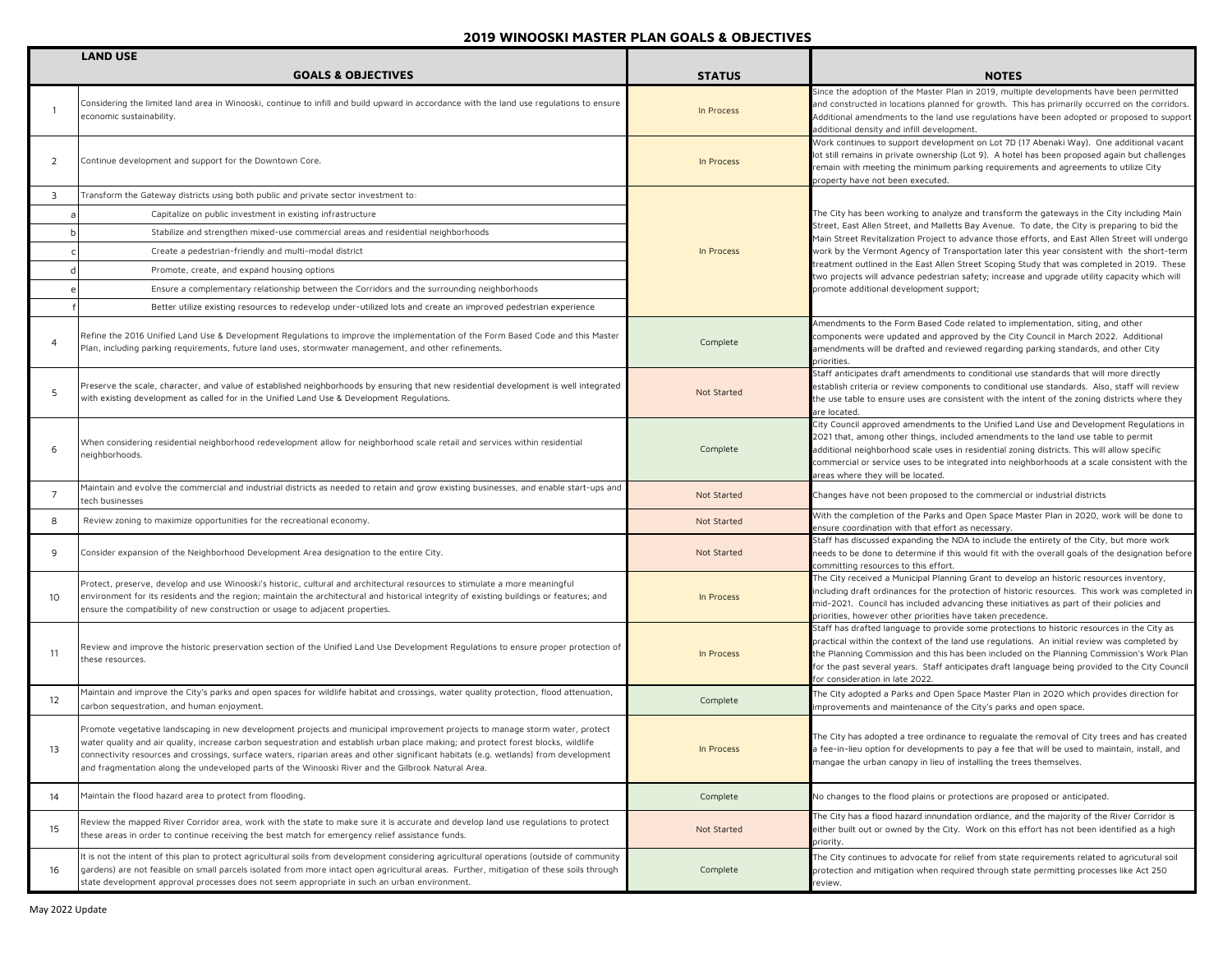|                | <b>LAND USE</b>                                                                                                                                                                                                                                                                                                                                                                                                                                                                                                  |               |                                                                                                                                                                                                                                                                                                                                                                                                                                |
|----------------|------------------------------------------------------------------------------------------------------------------------------------------------------------------------------------------------------------------------------------------------------------------------------------------------------------------------------------------------------------------------------------------------------------------------------------------------------------------------------------------------------------------|---------------|--------------------------------------------------------------------------------------------------------------------------------------------------------------------------------------------------------------------------------------------------------------------------------------------------------------------------------------------------------------------------------------------------------------------------------|
|                | <b>GOALS &amp; OBJECTIVES</b>                                                                                                                                                                                                                                                                                                                                                                                                                                                                                    | <b>STATUS</b> | <b>NOTES</b>                                                                                                                                                                                                                                                                                                                                                                                                                   |
|                | Considering the limited land area in Winooski, continue to infill and build upward in accordance with the land use regulations to ensure<br>economic sustainability.                                                                                                                                                                                                                                                                                                                                             | In Process    | Since the adoption of the Master Plan in 2019, multiple developments have been permitted<br>and constructed in locations planned for growth. This has primarily occurred on the corridors.<br>Additional amendments to the land use regulations have been adopted or proposed to support<br>additional density and infill development.                                                                                         |
| 2              | Continue development and support for the Downtown Core.                                                                                                                                                                                                                                                                                                                                                                                                                                                          | In Process    | Work continues to support development on Lot 7D (17 Abenaki Way). One additional vacant<br>lot still remains in private ownership (Lot 9). A hotel has been proposed again but challenges<br>remain with meeting the minimum parking requirements and agreements to utilize City<br>property have not been executed.                                                                                                           |
| 3              | Transform the Gateway districts using both public and private sector investment to:                                                                                                                                                                                                                                                                                                                                                                                                                              |               |                                                                                                                                                                                                                                                                                                                                                                                                                                |
|                | Capitalize on public investment in existing infrastructure                                                                                                                                                                                                                                                                                                                                                                                                                                                       |               | The City has been working to analyze and transform the gateways in the City including Main                                                                                                                                                                                                                                                                                                                                     |
|                | Stabilize and strengthen mixed-use commercial areas and residential neighborhoods                                                                                                                                                                                                                                                                                                                                                                                                                                |               | Street, East Allen Street, and Malletts Bay Avenue. To date, the City is preparing to bid the<br>Main Street Revitalization Project to advance those efforts, and East Allen Street will undergo                                                                                                                                                                                                                               |
|                | Create a pedestrian-friendly and multi-modal district                                                                                                                                                                                                                                                                                                                                                                                                                                                            | In Process    | work by the Vermont Agency of Transportation later this year consistent with the short-term                                                                                                                                                                                                                                                                                                                                    |
|                | Promote, create, and expand housing options                                                                                                                                                                                                                                                                                                                                                                                                                                                                      |               | treatment outlined in the East Allen Street Scoping Study that was completed in 2019. These<br>two projects will advance pedestrian safety; increase and upgrade utility capacity which will                                                                                                                                                                                                                                   |
|                | Ensure a complementary relationship between the Corridors and the surrounding neighborhoods                                                                                                                                                                                                                                                                                                                                                                                                                      |               | promote additional development support;                                                                                                                                                                                                                                                                                                                                                                                        |
|                | Better utilize existing resources to redevelop under-utilized lots and create an improved pedestrian experience                                                                                                                                                                                                                                                                                                                                                                                                  |               |                                                                                                                                                                                                                                                                                                                                                                                                                                |
| $\overline{4}$ | Refine the 2016 Unified Land Use & Development Regulations to improve the implementation of the Form Based Code and this Master<br>Plan, including parking requirements, future land uses, stormwater management, and other refinements.                                                                                                                                                                                                                                                                         | Complete      | Amendments to the Form Based Code related to implementation, siting, and other<br>components were updated and approved by the City Council in March 2022. Additional<br>amendments will be drafted and reviewed regarding parking standards, and other City<br>priorities.                                                                                                                                                     |
| 5              | Preserve the scale, character, and value of established neighborhoods by ensuring that new residential development is well integrated<br>with existing development as called for in the Unified Land Use & Development Regulations.                                                                                                                                                                                                                                                                              | Not Started   | Staff anticipates draft amendments to conditional use standards that will more directly<br>establish criteria or review components to conditional use standards. Also, staff will review<br>the use table to ensure uses are consistent with the intent of the zoning districts where they<br>are located.                                                                                                                     |
| 6              | When considering residential neighborhood redevelopment allow for neighborhood scale retail and services within residential<br>neighborhoods.                                                                                                                                                                                                                                                                                                                                                                    | Complete      | City Council approved amendments to the Unified Land Use and Development Regulations in<br>2021 that, among other things, included amendments to the land use table to permit<br>additional neighborhood scale uses in residential zoning districts. This will allow specific<br>commercial or service uses to be integrated into neighborhoods at a scale consistent with the<br>reas where they will be located.             |
| $\overline{7}$ | Maintain and evolve the commercial and industrial districts as needed to retain and grow existing businesses, and enable start-ups and<br>tech businesses                                                                                                                                                                                                                                                                                                                                                        | Not Started   | Changes have not been proposed to the commercial or industrial districts                                                                                                                                                                                                                                                                                                                                                       |
| 8              | Review zoning to maximize opportunities for the recreational economy.                                                                                                                                                                                                                                                                                                                                                                                                                                            | Not Started   | With the completion of the Parks and Open Space Master Plan in 2020, work will be done to<br>ensure coordination with that effort as necessary.                                                                                                                                                                                                                                                                                |
| 9              | Consider expansion of the Neighborhood Development Area designation to the entire City.                                                                                                                                                                                                                                                                                                                                                                                                                          | Not Started   | Staff has discussed expanding the NDA to include the entirety of the City, but more work<br>needs to be done to determine if this would fit with the overall goals of the designation before<br>committing resources to this effort.                                                                                                                                                                                           |
| 10             | Protect, preserve, develop and use Winooski's historic, cultural and architectural resources to stimulate a more meaningful<br>environment for its residents and the region; maintain the architectural and historical integrity of existing buildings or features; and<br>ensure the compatibility of new construction or usage to adjacent properties.                                                                                                                                                         | In Process    | The City received a Municipal Planning Grant to develop an historic resources inventory,<br>including draft ordinances for the protection of historic resources. This work was completed in<br>mid-2021. Council has included advancing these initiatives as part of their policies and<br>priorities, however other priorities have taken precedence.                                                                         |
| 11             | Review and improve the historic preservation section of the Unified Land Use Development Regulations to ensure proper protection of<br>these resources.                                                                                                                                                                                                                                                                                                                                                          | In Process    | Staff has drafted language to provide some protections to historic resources in the City as<br>practical within the context of the land use regulations. An initial review was completed by<br>the Planning Commission and this has been included on the Planning Commission's Work Plan<br>for the past several years. Staff anticipates draft language being provided to the City Council<br>for consideration in late 2022. |
| 12             | Maintain and improve the City's parks and open spaces for wildlife habitat and crossings, water quality protection, flood attenuation,<br>carbon sequestration, and human enjoyment.                                                                                                                                                                                                                                                                                                                             | Complete      | The City adopted a Parks and Open Space Master Plan in 2020 which provides direction for<br>mprovements and maintenance of the City's parks and open space.                                                                                                                                                                                                                                                                    |
|                | Promote vegetative landscaping in new development projects and municipal improvement projects to manage storm water, protect<br>water quality and air quality, increase carbon sequestration and establish urban place making; and protect forest blocks, wildlife<br>connectivity resources and crossings, surface waters, riparian areas and other significant habitats (e.g. wetlands) from development<br>and fragmentation along the undeveloped parts of the Winooski River and the Gilbrook Natural Area. | In Process    | The City has adopted a tree ordinance to regualate the removal of City trees and has created<br>fee-in-lieu option for developments to pay a fee that will be used to maintain, install, and<br>mangae the urban canopy in lieu of installing the trees themselves.                                                                                                                                                            |
| 14             | Maintain the flood hazard area to protect from flooding.                                                                                                                                                                                                                                                                                                                                                                                                                                                         | Complete      | No changes to the flood plains or protections are proposed or anticipated.                                                                                                                                                                                                                                                                                                                                                     |
| 15             | Review the mapped River Corridor area, work with the state to make sure it is accurate and develop land use requlations to protect<br>these areas in order to continue receiving the best match for emergency relief assistance funds.                                                                                                                                                                                                                                                                           | Not Started   | The City has a flood hazard innundation ordiance, and the majority of the River Corridor is<br>either built out or owned by the City. Work on this effort has not been identified as a high<br>priority.                                                                                                                                                                                                                       |
| 16             | It is not the intent of this plan to protect agricultural soils from development considering agricultural operations (outside of community<br>gardens) are not feasible on small parcels isolated from more intact open agricultural areas. Further, mitigation of these soils through<br>state development approval processes does not seem appropriate in such an urban environment.                                                                                                                           | Complete      | The City continues to advocate for relief from state requirements related to agricutural soil<br>protection and mitigation when required through state permitting processes like Act 250<br>review.                                                                                                                                                                                                                            |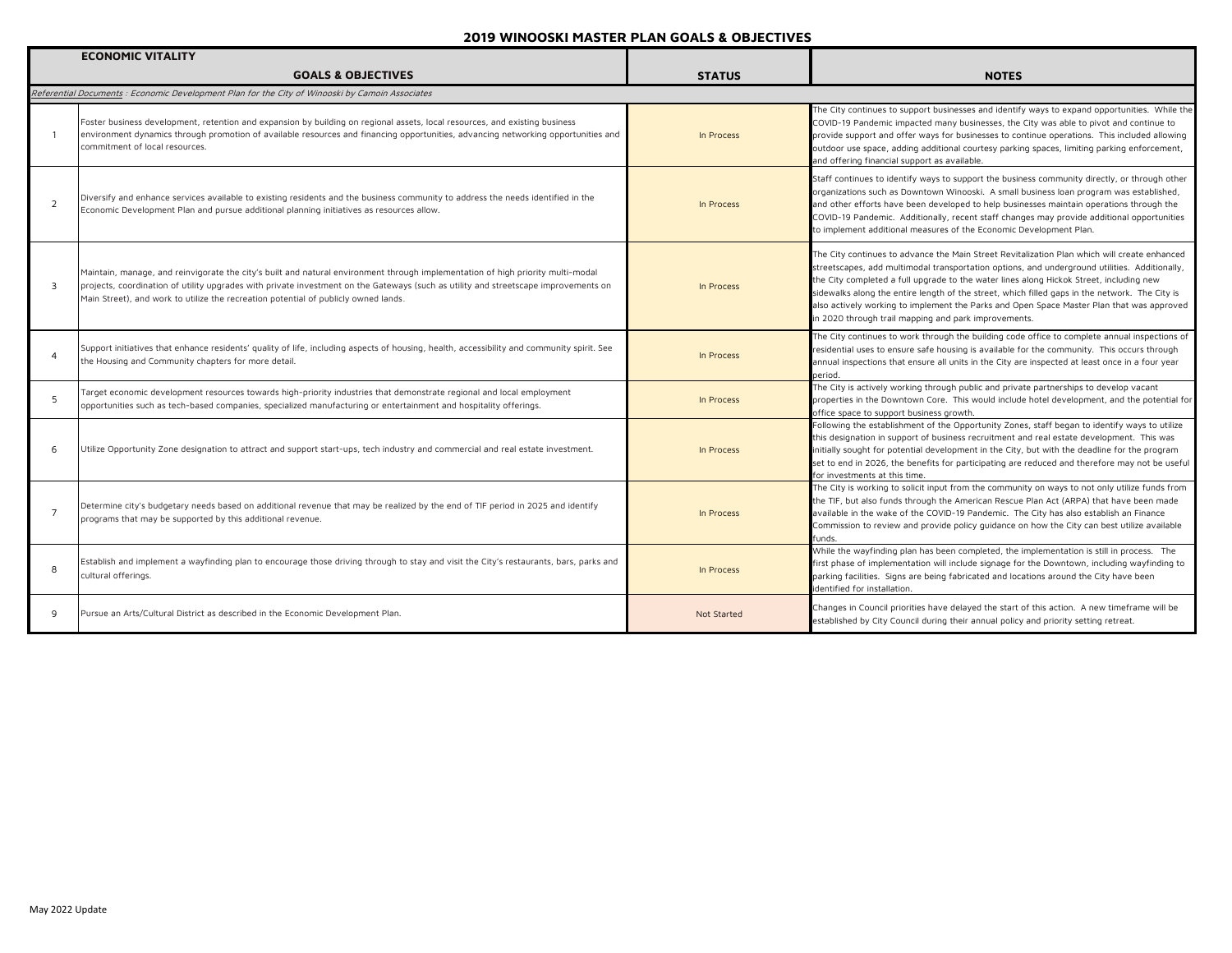|                          | <b>ECONOMIC VITALITY</b>                                                                                                                                                                                                                                                                                                                                      |               |                                                                                                                                                                                                                                                                                                                                                                                                                                                                                                                                                 |
|--------------------------|---------------------------------------------------------------------------------------------------------------------------------------------------------------------------------------------------------------------------------------------------------------------------------------------------------------------------------------------------------------|---------------|-------------------------------------------------------------------------------------------------------------------------------------------------------------------------------------------------------------------------------------------------------------------------------------------------------------------------------------------------------------------------------------------------------------------------------------------------------------------------------------------------------------------------------------------------|
|                          | <b>GOALS &amp; OBJECTIVES</b>                                                                                                                                                                                                                                                                                                                                 | <b>STATUS</b> | <b>NOTES</b>                                                                                                                                                                                                                                                                                                                                                                                                                                                                                                                                    |
|                          | Referential Documents : Economic Development Plan for the City of Winooski by Camoin Associates                                                                                                                                                                                                                                                               |               |                                                                                                                                                                                                                                                                                                                                                                                                                                                                                                                                                 |
|                          | Foster business development, retention and expansion by building on regional assets, local resources, and existing business<br>environment dynamics through promotion of available resources and financing opportunities, advancing networking opportunities and<br>commitment of local resources.                                                            | In Process    | The City continues to support businesses and identify ways to expand opportunities. While the<br>COVID-19 Pandemic impacted many businesses, the City was able to pivot and continue to<br>provide support and offer ways for businesses to continue operations. This included allowing<br>outdoor use space, adding additional courtesy parking spaces, limiting parking enforcement,<br>and offering financial support as available.                                                                                                          |
| 2                        | Diversify and enhance services available to existing residents and the business community to address the needs identified in the<br>Economic Development Plan and pursue additional planning initiatives as resources allow.                                                                                                                                  | In Process    | Staff continues to identify ways to support the business community directly, or through other<br>organizations such as Downtown Winooski. A small business loan program was established,<br>and other efforts have been developed to help businesses maintain operations through the<br>COVID-19 Pandemic. Additionally, recent staff changes may provide additional opportunities<br>to implement additional measures of the Economic Development Plan.                                                                                        |
| $\overline{\mathcal{A}}$ | Maintain, manage, and reinvigorate the city's built and natural environment through implementation of high priority multi-modal<br>projects, coordination of utility upgrades with private investment on the Gateways (such as utility and streetscape improvements on<br>Main Street), and work to utilize the recreation potential of publicly owned lands. | In Process    | The City continues to advance the Main Street Revitalization Plan which will create enhanced<br>streetscapes, add multimodal transportation options, and underground utilities. Additionally,<br>the City completed a full upgrade to the water lines along Hickok Street, including new<br>sidewalks along the entire length of the street, which filled gaps in the network. The City is<br>also actively working to implement the Parks and Open Space Master Plan that was approved<br>in 2020 through trail mapping and park improvements. |
|                          | Support initiatives that enhance residents' quality of life, including aspects of housing, health, accessibility and community spirit. See<br>the Housing and Community chapters for more detail.                                                                                                                                                             | In Process    | The City continues to work through the building code office to complete annual inspections of<br>residential uses to ensure safe housing is available for the community. This occurs through<br>annual inspections that ensure all units in the City are inspected at least once in a four year<br>period.                                                                                                                                                                                                                                      |
| -5                       | Target economic development resources towards high-priority industries that demonstrate regional and local employment<br>opportunities such as tech-based companies, specialized manufacturing or entertainment and hospitality offerings.                                                                                                                    | In Process    | The City is actively working through public and private partnerships to develop vacant<br>properties in the Downtown Core. This would include hotel development, and the potential for<br>office space to support business growth.                                                                                                                                                                                                                                                                                                              |
| 6                        | Utilize Opportunity Zone designation to attract and support start-ups, tech industry and commercial and real estate investment.                                                                                                                                                                                                                               | In Process    | Following the establishment of the Opportunity Zones, staff began to identify ways to utilize<br>this designation in support of business recruitment and real estate development. This was<br>initially sought for potential development in the City, but with the deadline for the program<br>set to end in 2026, the benefits for participating are reduced and therefore may not be useful<br>for investments at this time.                                                                                                                  |
| $\overline{7}$           | Determine city's budgetary needs based on additional revenue that may be realized by the end of TIF period in 2025 and identify<br>programs that may be supported by this additional revenue.                                                                                                                                                                 | In Process    | The City is working to solicit input from the community on ways to not only utilize funds from<br>the TIF, but also funds through the American Rescue Plan Act (ARPA) that have been made<br>available in the wake of the COVID-19 Pandemic. The City has also establish an Finance<br>Commission to review and provide policy guidance on how the City can best utilize available<br>funds.                                                                                                                                                    |
| 8                        | Establish and implement a wayfinding plan to encourage those driving through to stay and visit the City's restaurants, bars, parks and<br>cultural offerings.                                                                                                                                                                                                 | In Process    | While the wayfinding plan has been completed, the implementation is still in process. The<br>first phase of implementation will include signage for the Downtown, including wayfinding to<br>parking facilities. Signs are being fabricated and locations around the City have been<br>identified for installation.                                                                                                                                                                                                                             |
| q                        | Pursue an Arts/Cultural District as described in the Economic Development Plan.                                                                                                                                                                                                                                                                               | Not Started   | Changes in Council priorities have delayed the start of this action. A new timeframe will be<br>established by City Council during their annual policy and priority setting retreat.                                                                                                                                                                                                                                                                                                                                                            |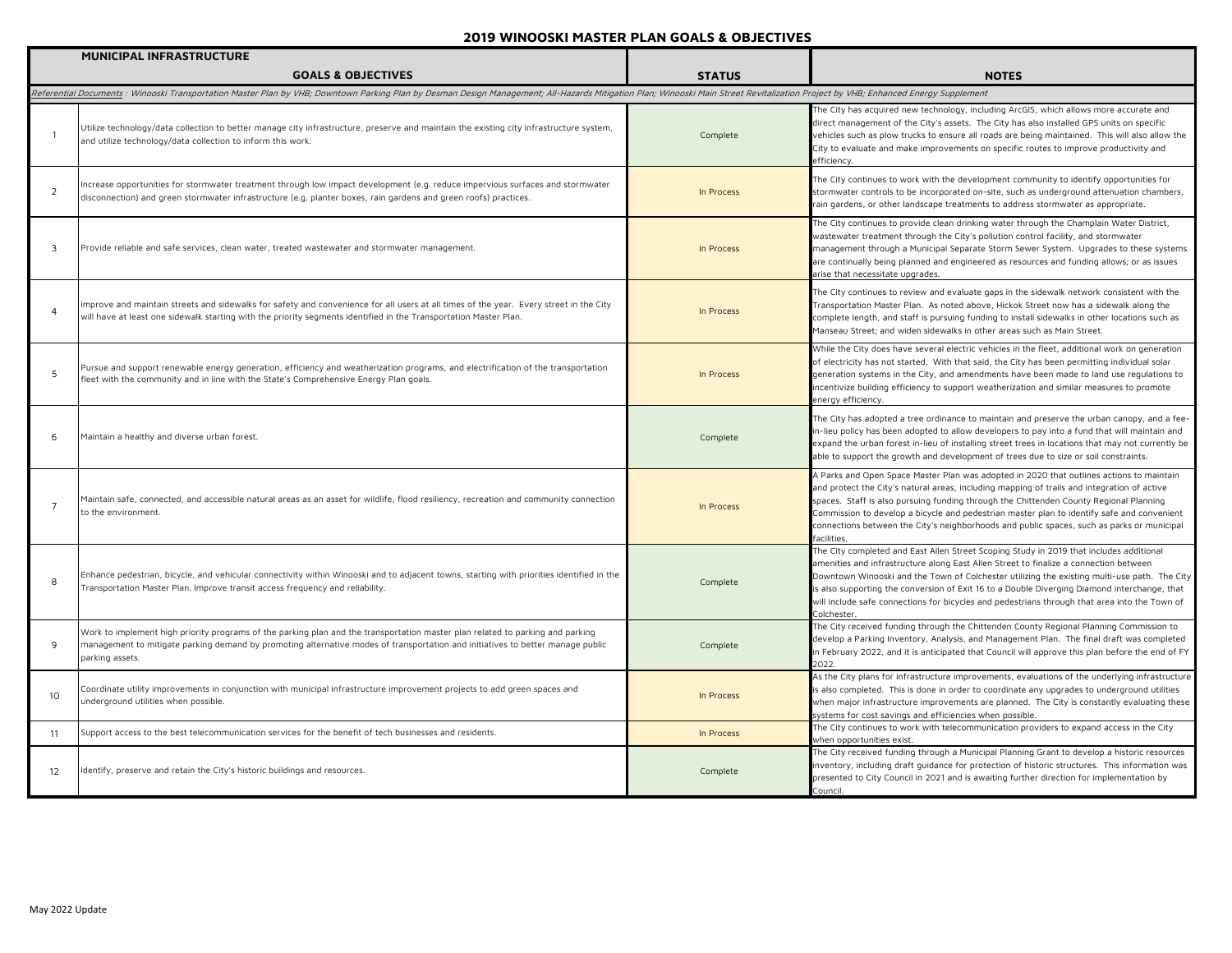|                 | <b>MUNICIPAL INFRASTRUCTURE</b>                                                                                                                                                                                                                                                     |               |                                                                                                                                                                                                                                                                                                                                                                                                                                                                                                  |
|-----------------|-------------------------------------------------------------------------------------------------------------------------------------------------------------------------------------------------------------------------------------------------------------------------------------|---------------|--------------------------------------------------------------------------------------------------------------------------------------------------------------------------------------------------------------------------------------------------------------------------------------------------------------------------------------------------------------------------------------------------------------------------------------------------------------------------------------------------|
|                 | <b>GOALS &amp; OBJECTIVES</b>                                                                                                                                                                                                                                                       | <b>STATUS</b> | <b>NOTES</b>                                                                                                                                                                                                                                                                                                                                                                                                                                                                                     |
|                 | Referential Documents : Winooski Transportation Master Plan by VHB; Downtown Parking Plan by Desman Design Management; All-Hazards Mitigation Plan; Winooski Main Street Revitalization Project by VHB; Enhanced Energy Supple                                                      |               |                                                                                                                                                                                                                                                                                                                                                                                                                                                                                                  |
| $\overline{1}$  | Utilize technology/data collection to better manage city infrastructure, preserve and maintain the existing city infrastructure system,<br>and utilize technology/data collection to inform this work.                                                                              | Complete      | The City has acquired new technology, including ArcGIS, which allows more accurate and<br>direct management of the City's assets. The City has also installed GPS units on specific<br>vehicles such as plow trucks to ensure all roads are being maintained. This will also allow the<br>City to evaluate and make improvements on specific routes to improve productivity and<br>efficiency.                                                                                                   |
| 2               | Increase opportunities for stormwater treatment through low impact development (e.g. reduce impervious surfaces and stormwater<br>disconnection) and green stormwater infrastructure (e.g. planter boxes, rain gardens and green roofs) practices.                                  | In Process    | The City continues to work with the development community to identify opportunities for<br>stormwater controls to be incorporated on-site, such as underground attenuation chambers,<br>rain gardens, or other landscape treatments to address stormwater as appropriate.                                                                                                                                                                                                                        |
| 3               | Provide reliable and safe services, clean water, treated wastewater and stormwater management.                                                                                                                                                                                      | In Process    | The City continues to provide clean drinking water through the Champlain Water District,<br>wastewater treatment through the City's pollution control facility, and stormwater<br>management through a Municipal Separate Storm Sewer System. Upgrades to these systems<br>are continually being planned and engineered as resources and funding allows; or as issues<br>arise that necessitate upgrades.                                                                                        |
| $\overline{4}$  | Improve and maintain streets and sidewalks for safety and convenience for all users at all times of the year. Every street in the City<br>will have at least one sidewalk starting with the priority segments identified in the Transportation Master Plan.                         | In Process    | The City continues to review and evaluate gaps in the sidewalk network consistent with the<br>Fransportation Master Plan. As noted above, Hickok Street now has a sidewalk along the<br>complete length, and staff is pursuing funding to install sidewalks in other locations such as<br>Manseau Street; and widen sidewalks in other areas such as Main Street.                                                                                                                                |
| 5               | Pursue and support renewable energy generation, efficiency and weatherization programs, and electrification of the transportation<br>fleet with the community and in line with the State's Comprehensive Energy Plan goals.                                                         | In Process    | While the City does have several electric vehicles in the fleet, additional work on generation<br>of electricity has not started. With that said, the City has been permitting individual solar<br>generation systems in the City, and amendments have been made to land use regulations to<br>incentivize building efficiency to support weatherization and similar measures to promote<br>energy efficiency.                                                                                   |
| 6               | Maintain a healthy and diverse urban forest.                                                                                                                                                                                                                                        | Complete      | The City has adopted a tree ordinance to maintain and preserve the urban canopy, and a fee-<br>in-lieu policy has been adopted to allow developers to pay into a fund that will maintain and<br>expand the urban forest in-lieu of installing street trees in locations that may not currently be<br>able to support the growth and development of trees due to size or soil constraints.                                                                                                        |
| $\overline{7}$  | Maintain safe, connected, and accessible natural areas as an asset for wildlife, flood resiliency, recreation and community connection<br>to the environment.                                                                                                                       | In Process    | A Parks and Open Space Master Plan was adopted in 2020 that outlines actions to maintain<br>and protect the City's natural areas, including mapping of trails and integration of active<br>spaces. Staff is also pursuing funding through the Chittenden County Regional Planning<br>Commission to develop a bicycle and pedestrian master plan to identify safe and convenient<br>connections between the City's neighborhoods and public spaces, such as parks or municipal<br>facilities.     |
| 8               | Enhance pedestrian, bicycle, and vehicular connectivity within Winooski and to adjacent towns, starting with priorities identified in the<br>Transportation Master Plan. Improve transit access frequency and reliability.                                                          | Complete      | The City completed and East Allen Street Scoping Study in 2019 that includes additional<br>amenities and infrastructure along East Allen Street to finalize a connection between<br>Downtown Winooski and the Town of Colchester utilizing the existing multi-use path. The City<br>is also supporting the conversion of Exit 16 to a Double Diverging Diamond interchange, that<br>will include safe connections for bicycles and pedestrians through that area into the Town of<br>Colchester. |
| 9               | Work to implement high priority programs of the parking plan and the transportation master plan related to parking and parking<br>management to mitigate parking demand by promoting alternative modes of transportation and initiatives to better manage public<br>parking assets. | Complete      | The City received funding through the Chittenden County Regional Planning Commission to<br>develop a Parking Inventory, Analysis, and Management Plan. The final draft was completed<br>in February 2022, and it is anticipated that Council will approve this plan before the end of FY<br>2022.                                                                                                                                                                                                |
| 10 <sup>°</sup> | Coordinate utility improvements in conjunction with municipal infrastructure improvement projects to add green spaces and<br>underground utilities when possible.                                                                                                                   | In Process    | As the City plans for infrastructure improvements, evaluations of the underlying infrastructure<br>is also completed. This is done in order to coordinate any upgrades to underground utilities<br>when major infrastructure improvements are planned. The City is constantly evaluating these<br>systems for cost savings and efficiencies when possible.                                                                                                                                       |
| 11              | Support access to the best telecommunication services for the benefit of tech businesses and residents.                                                                                                                                                                             | In Process    | The City continues to work with telecommunication providers to expand access in the City<br>when opportunities exist.                                                                                                                                                                                                                                                                                                                                                                            |
| 12              | Identify, preserve and retain the City's historic buildings and resources.                                                                                                                                                                                                          | Complete      | The City received funding through a Municipal Planning Grant to develop a historic resources<br>inventory, including draft guidance for protection of historic structures. This information was<br>presented to City Council in 2021 and is awaiting further direction for implementation by<br>Council.                                                                                                                                                                                         |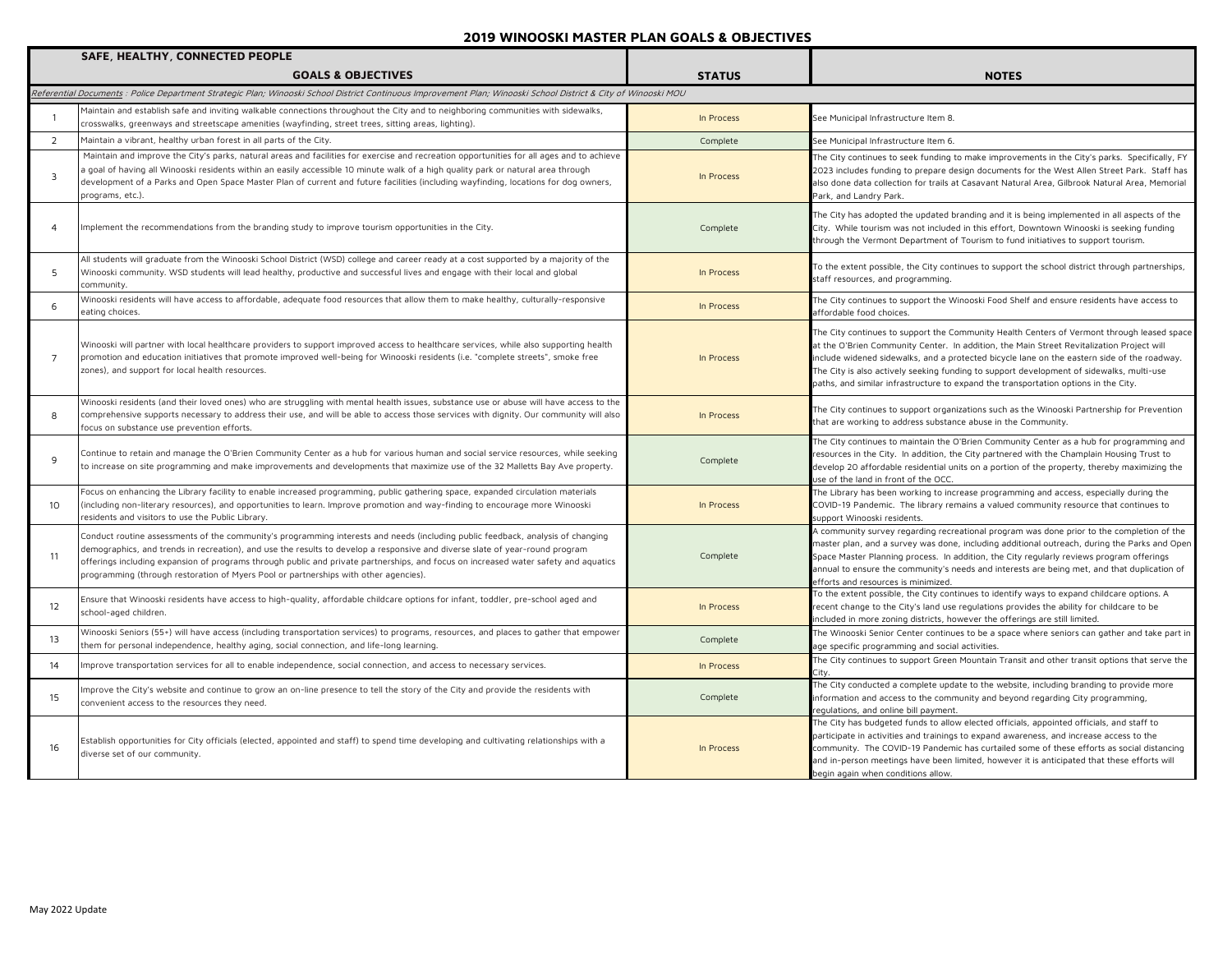|                   | SAFE, HEALTHY, CONNECTED PEOPLE                                                                                                                                                                                                                                                                                                                                                                                                                                                                |               |                                                                                                                                                                                                                                                                                                                                                                                                                                                                           |
|-------------------|------------------------------------------------------------------------------------------------------------------------------------------------------------------------------------------------------------------------------------------------------------------------------------------------------------------------------------------------------------------------------------------------------------------------------------------------------------------------------------------------|---------------|---------------------------------------------------------------------------------------------------------------------------------------------------------------------------------------------------------------------------------------------------------------------------------------------------------------------------------------------------------------------------------------------------------------------------------------------------------------------------|
|                   | <b>GOALS &amp; OBJECTIVES</b>                                                                                                                                                                                                                                                                                                                                                                                                                                                                  | <b>STATUS</b> | <b>NOTES</b>                                                                                                                                                                                                                                                                                                                                                                                                                                                              |
|                   | Referential Documents : Police Department Strategic Plan; Winooski School District Continuous Improvement Plan; Winooski School District & City of Winooski MOU                                                                                                                                                                                                                                                                                                                                |               |                                                                                                                                                                                                                                                                                                                                                                                                                                                                           |
|                   | Maintain and establish safe and inviting walkable connections throughout the City and to neighboring communities with sidewalks,<br>crosswalks, greenways and streetscape amenities (wayfinding, street trees, sitting areas, lighting).                                                                                                                                                                                                                                                       | In Process    | See Municipal Infrastructure Item 8.                                                                                                                                                                                                                                                                                                                                                                                                                                      |
| 2                 | Maintain a vibrant, healthy urban forest in all parts of the City.                                                                                                                                                                                                                                                                                                                                                                                                                             | Complete      | See Municipal Infrastructure Item 6.                                                                                                                                                                                                                                                                                                                                                                                                                                      |
| 3                 | Maintain and improve the City's parks, natural areas and facilities for exercise and recreation opportunities for all ages and to achieve<br>a goal of having all Winooski residents within an easily accessible 10 minute walk of a high quality park or natural area through<br>development of a Parks and Open Space Master Plan of current and future facilities (including wayfinding, locations for dog owners,<br>programs, etc.).                                                      | In Process    | The City continues to seek funding to make improvements in the City's parks. Specifically, FY<br>2023 includes funding to prepare design documents for the West Allen Street Park. Staff has<br>also done data collection for trails at Casavant Natural Area, Gilbrook Natural Area, Memorial<br>Park, and Landry Park.                                                                                                                                                  |
| 4                 | Implement the recommendations from the branding study to improve tourism opportunities in the City.                                                                                                                                                                                                                                                                                                                                                                                            | Complete      | The City has adopted the updated branding and it is being implemented in all aspects of the<br>City. While tourism was not included in this effort, Downtown Winooski is seeking funding<br>through the Vermont Department of Tourism to fund initiatives to support tourism.                                                                                                                                                                                             |
| 5                 | All students will graduate from the Winooski School District (WSD) college and career ready at a cost supported by a majority of the<br>Winooski community. WSD students will lead healthy, productive and successful lives and engage with their local and global<br>community.                                                                                                                                                                                                               | In Process    | To the extent possible, the City continues to support the school district through partnerships,<br>staff resources, and programming.                                                                                                                                                                                                                                                                                                                                      |
| 6                 | Winooski residents will have access to affordable, adequate food resources that allow them to make healthy, culturally-responsive<br>eating choices.                                                                                                                                                                                                                                                                                                                                           | In Process    | The City continues to support the Winooski Food Shelf and ensure residents have access to<br>affordable food choices.                                                                                                                                                                                                                                                                                                                                                     |
| $\overline{7}$    | Winooski will partner with local healthcare providers to support improved access to healthcare services, while also supporting health<br>promotion and education initiatives that promote improved well-being for Winooski residents (i.e. "complete streets", smoke free<br>zones), and support for local health resources.                                                                                                                                                                   | In Process    | The City continues to support the Community Health Centers of Vermont through leased space<br>at the O'Brien Community Center. In addition, the Main Street Revitalization Project will<br>include widened sidewalks, and a protected bicycle lane on the eastern side of the roadway.<br>The City is also actively seeking funding to support development of sidewalks, multi-use<br>paths, and similar infrastructure to expand the transportation options in the City. |
| 8                 | Winooski residents (and their loved ones) who are struggling with mental health issues, substance use or abuse will have access to the<br>comprehensive supports necessary to address their use, and will be able to access those services with dignity. Our community will also<br>focus on substance use prevention efforts.                                                                                                                                                                 | In Process    | The City continues to support organizations such as the Winooski Partnership for Prevention<br>that are working to address substance abuse in the Community.                                                                                                                                                                                                                                                                                                              |
| 9                 | Continue to retain and manage the O'Brien Community Center as a hub for various human and social service resources, while seeking<br>to increase on site programming and make improvements and developments that maximize use of the 32 Malletts Bay Ave property.                                                                                                                                                                                                                             | Complete      | The City continues to maintain the O'Brien Community Center as a hub for programming and<br>resources in the City. In addition, the City partnered with the Champlain Housing Trust to<br>develop 20 affordable residential units on a portion of the property, thereby maximizing the<br>use of the land in front of the OCC.                                                                                                                                            |
| 10 <sup>2</sup>   | Focus on enhancing the Library facility to enable increased programming, public gathering space, expanded circulation materials<br>(including non-literary resources), and opportunities to learn. Improve promotion and way-finding to encourage more Winooski<br>residents and visitors to use the Public Library.                                                                                                                                                                           | In Process    | The Library has been working to increase programming and access, especially during the<br>COVID-19 Pandemic. The library remains a valued community resource that continues to<br>support Winooski residents.                                                                                                                                                                                                                                                             |
| 11                | Conduct routine assessments of the community's programming interests and needs (including public feedback, analysis of changing<br>demographics, and trends in recreation), and use the results to develop a responsive and diverse slate of year-round program<br>offerings including expansion of programs through public and private partnerships, and focus on increased water safety and aquatics<br>programming (through restoration of Myers Pool or partnerships with other agencies). | Complete      | A community survey regarding recreational program was done prior to the completion of the<br>master plan, and a survey was done, including additional outreach, during the Parks and Open<br>Space Master Planning process. In addition, the City regularly reviews program offerings<br>annual to ensure the community's needs and interests are being met, and that duplication of<br>efforts and resources is minimized.                                               |
| $12 \overline{ }$ | Ensure that Winooski residents have access to high-quality, affordable childcare options for infant, toddler, pre-school aged and<br>school-aged children.                                                                                                                                                                                                                                                                                                                                     | In Process    | To the extent possible, the City continues to identify ways to expand childcare options. A<br>recent change to the City's land use regulations provides the ability for childcare to be<br>included in more zoning districts, however the offerings are still limited.                                                                                                                                                                                                    |
| 13                | Winooski Seniors (55+) will have access (including transportation services) to programs, resources, and places to gather that empower<br>them for personal independence, healthy aging, social connection, and life-long learning.                                                                                                                                                                                                                                                             | Complete      | The Winooski Senior Center continues to be a space where seniors can gather and take part in<br>age specific programming and social activities.                                                                                                                                                                                                                                                                                                                           |
| 14                | Improve transportation services for all to enable independence, social connection, and access to necessary services.                                                                                                                                                                                                                                                                                                                                                                           | In Process    | The City continues to support Green Mountain Transit and other transit options that serve the<br>Citv                                                                                                                                                                                                                                                                                                                                                                     |
| 15                | Improve the City's website and continue to grow an on-line presence to tell the story of the City and provide the residents with<br>convenient access to the resources they need.                                                                                                                                                                                                                                                                                                              | Complete      | The City conducted a complete update to the website, including branding to provide more<br>information and access to the community and beyond regarding City programming,<br>equlations, and online bill payment.                                                                                                                                                                                                                                                         |
| 16                | Establish opportunities for City officials (elected, appointed and staff) to spend time developing and cultivating relationships with a<br>diverse set of our community.                                                                                                                                                                                                                                                                                                                       | In Process    | The City has budgeted funds to allow elected officials, appointed officials, and staff to<br>participate in activities and trainings to expand awareness, and increase access to the<br>community. The COVID-19 Pandemic has curtailed some of these efforts as social distancing<br>and in-person meetings have been limited, however it is anticipated that these efforts will<br>begin again when conditions allow.                                                    |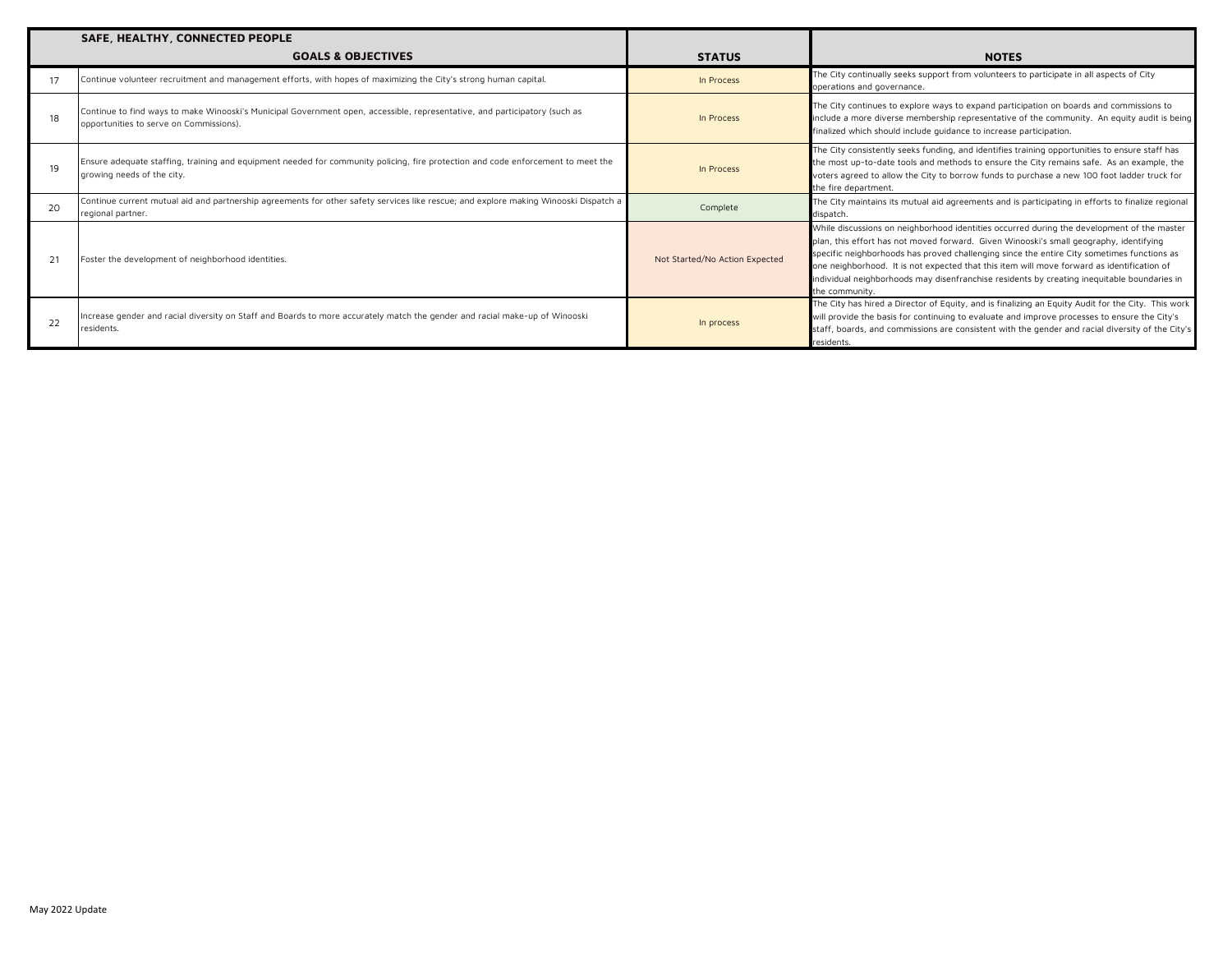|    | SAFE, HEALTHY, CONNECTED PEOPLE                                                                                                                                       |                                |                                                                                                                                                                                                                                                                                                                                                                                                                                                                                                   |
|----|-----------------------------------------------------------------------------------------------------------------------------------------------------------------------|--------------------------------|---------------------------------------------------------------------------------------------------------------------------------------------------------------------------------------------------------------------------------------------------------------------------------------------------------------------------------------------------------------------------------------------------------------------------------------------------------------------------------------------------|
|    | <b>GOALS &amp; OBJECTIVES</b>                                                                                                                                         | <b>STATUS</b>                  | <b>NOTES</b>                                                                                                                                                                                                                                                                                                                                                                                                                                                                                      |
|    | Continue volunteer recruitment and management efforts, with hopes of maximizing the City's strong human capital.                                                      | In Process                     | The City continually seeks support from volunteers to participate in all aspects of City<br>operations and governance.                                                                                                                                                                                                                                                                                                                                                                            |
|    | Continue to find ways to make Winooski's Municipal Government open, accessible, representative, and participatory (such as<br>opportunities to serve on Commissions). | In Process                     | The City continues to explore ways to expand participation on boards and commissions to<br>include a more diverse membership representative of the community. An equity audit is being<br>finalized which should include guidance to increase participation.                                                                                                                                                                                                                                      |
| 19 | Ensure adequate staffing, training and equipment needed for community policing, fire protection and code enforcement to meet the<br>growing needs of the city.        | In Process                     | The City consistently seeks funding, and identifies training opportunities to ensure staff has<br>the most up-to-date tools and methods to ensure the City remains safe. As an example, the<br>voters agreed to allow the City to borrow funds to purchase a new 100 foot ladder truck for<br>the fire department.                                                                                                                                                                                |
| 20 | Continue current mutual aid and partnership agreements for other safety services like rescue; and explore making Winooski Dispatch a<br>regional partner.             | Complete                       | The City maintains its mutual aid agreements and is participating in efforts to finalize regional<br>dispatch.                                                                                                                                                                                                                                                                                                                                                                                    |
| 21 | Foster the development of neighborhood identities.                                                                                                                    | Not Started/No Action Expected | While discussions on neighborhood identities occurred during the development of the master<br>plan, this effort has not moved forward. Given Winooski's small geography, identifying<br>specific neighborhoods has proved challenging since the entire City sometimes functions as<br>one neighborhood. It is not expected that this item will move forward as identification of<br>individual neighborhoods may disenfranchise residents by creating inequitable boundaries in<br>the community. |
| 22 | Increase gender and racial diversity on Staff and Boards to more accurately match the gender and racial make-up of Winooski<br>residents.                             | In process                     | The City has hired a Director of Equity, and is finalizing an Equity Audit for the City. This work<br>will provide the basis for continuing to evaluate and improve processes to ensure the City's<br>staff, boards, and commissions are consistent with the gender and racial diversity of the City's<br>residents.                                                                                                                                                                              |